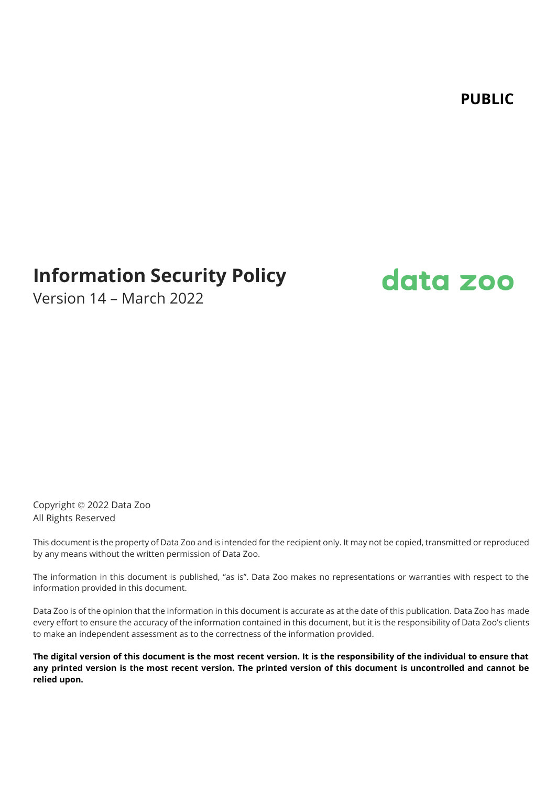**PUBLIC**

# **Information Security Policy**



Version 14 – March 2022

Copyright © 2022 Data Zoo All Rights Reserved

This document is the property of Data Zoo and is intended for the recipient only. It may not be copied, transmitted or reproduced by any means without the written permission of Data Zoo.

The information in this document is published, "as is". Data Zoo makes no representations or warranties with respect to the information provided in this document.

Data Zoo is of the opinion that the information in this document is accurate as at the date of this publication. Data Zoo has made every effort to ensure the accuracy of the information contained in this document, but it is the responsibility of Data Zoo's clients to make an independent assessment as to the correctness of the information provided.

**The digital version of this document is the most recent version. It is the responsibility of the individual to ensure that any printed version is the most recent version. The printed version of this document is uncontrolled and cannot be relied upon.**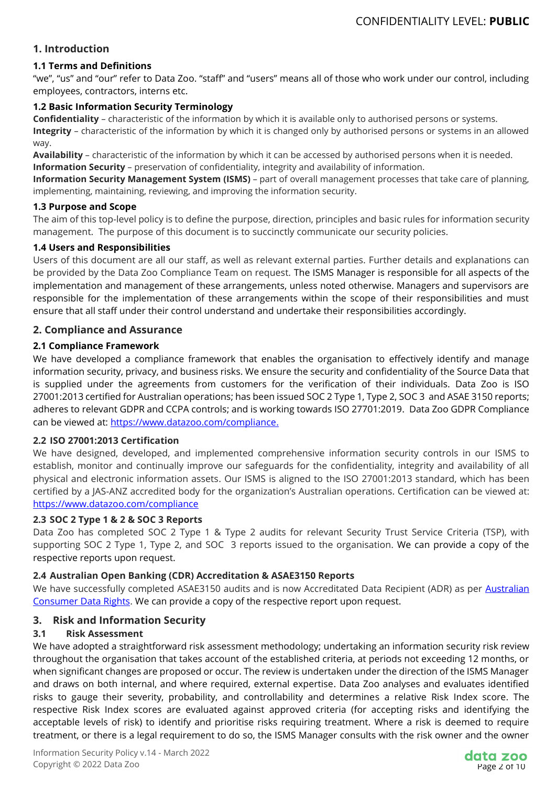## **1. Introduction**

## **1.1 Terms and Definitions**

"we", "us" and "our" refer to Data Zoo. "staff" and "users" means all of those who work under our control, including employees, contractors, interns etc.

#### **1.2 Basic Information Security Terminology**

**Confidentiality** – characteristic of the information by which it is available only to authorised persons or systems.

**Integrity** – characteristic of the information by which it is changed only by authorised persons or systems in an allowed way.

**Availability** – characteristic of the information by which it can be accessed by authorised persons when it is needed. **Information Security** – preservation of confidentiality, integrity and availability of information.

**Information Security Management System (ISMS)** – part of overall management processes that take care of planning, implementing, maintaining, reviewing, and improving the information security.

#### **1.3 Purpose and Scope**

The aim of this top-level policy is to define the purpose, direction, principles and basic rules for information security management. The purpose of this document is to succinctly communicate our security policies.

#### **1.4 Users and Responsibilities**

Users of this document are all our staff, as well as relevant external parties. Further details and explanations can be provided by the Data Zoo Compliance Team on request. The ISMS Manager is responsible for all aspects of the implementation and management of these arrangements, unless noted otherwise. Managers and supervisors are responsible for the implementation of these arrangements within the scope of their responsibilities and must ensure that all staff under their control understand and undertake their responsibilities accordingly.

#### **2. Compliance and Assurance**

#### **2.1 Compliance Framework**

We have developed a compliance framework that enables the organisation to effectively identify and manage information security, privacy, and business risks. We ensure the security and confidentiality of the Source Data that is supplied under the agreements from customers for the verification of their individuals. Data Zoo is ISO 27001:2013 certified for Australian operations; has been issued SOC 2 Type 1, Type 2, SOC 3 and ASAE 3150 reports; adheres to relevant GDPR and CCPA controls; and is working towards ISO 27701:2019. Data Zoo GDPR Compliance can be viewed at: [https://www.datazoo.com/compliance.](https://www.datazoo.com/compliance)

#### **2.2 ISO 27001:2013 Certification**

We have designed, developed, and implemented comprehensive information security controls in our ISMS to establish, monitor and continually improve our safeguards for the confidentiality, integrity and availability of all physical and electronic information assets. Our ISMS is aligned to the ISO 27001:2013 standard, which has been certified by a JAS-ANZ accredited body for the organization's Australian operations. Certification can be viewed at: <https://www.datazoo.com/compliance>

#### **2.3 SOC 2 Type 1 & 2 & SOC 3 Reports**

Data Zoo has completed SOC 2 Type 1 & Type 2 audits for relevant Security Trust Service Criteria (TSP), with supporting SOC 2 Type 1, Type 2, and SOC 3 reports issued to the organisation. We can provide a copy of the respective reports upon request.

#### **2.4 Australian Open Banking (CDR) Accreditation & ASAE3150 Reports**

We have successfully completed ASAE3150 audits and is now Accreditated Data Recipient (ADR) as per [Australian](https://www.legislation.gov.au/Details/F2020L00094)  [Consumer Data Rights.](https://www.legislation.gov.au/Details/F2020L00094) We can provide a copy of the respective report upon request.

#### **3. Risk and Information Security**

#### **3.1 Risk Assessment**

We have adopted a straightforward risk assessment methodology; undertaking an information security risk review throughout the organisation that takes account of the established criteria, at periods not exceeding 12 months, or when significant changes are proposed or occur. The review is undertaken under the direction of the ISMS Manager and draws on both internal, and where required, external expertise. Data Zoo analyses and evaluates identified risks to gauge their severity, probability, and controllability and determines a relative Risk Index score. The respective Risk Index scores are evaluated against approved criteria (for accepting risks and identifying the acceptable levels of risk) to identify and prioritise risks requiring treatment. Where a risk is deemed to require treatment, or there is a legal requirement to do so, the ISMS Manager consults with the risk owner and the owner

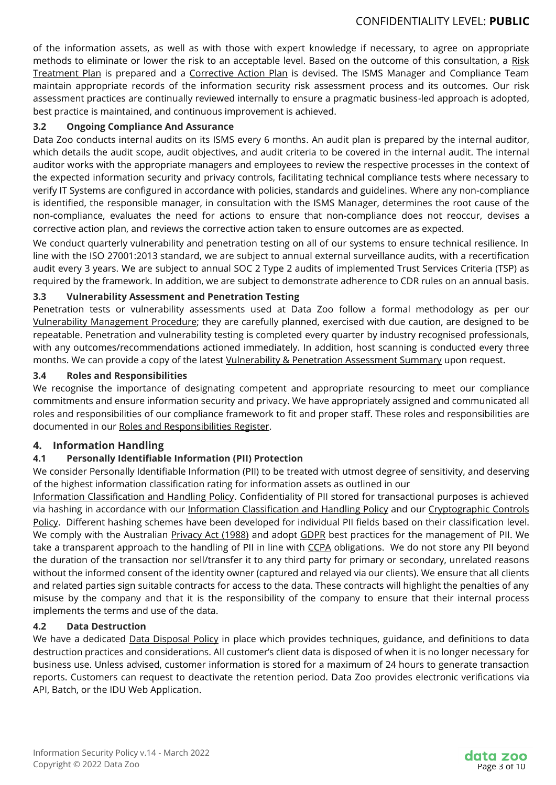of the information assets, as well as with those with expert knowledge if necessary, to agree on appropriate methods to eliminate or lower the risk to an acceptable level. Based on the outcome of this consultation, a Risk Treatment Plan is prepared and a Corrective Action Plan is devised. The ISMS Manager and Compliance Team maintain appropriate records of the information security risk assessment process and its outcomes. Our risk assessment practices are continually reviewed internally to ensure a pragmatic business-led approach is adopted, best practice is maintained, and continuous improvement is achieved.

## **3.2 Ongoing Compliance And Assurance**

Data Zoo conducts internal audits on its ISMS every 6 months. An audit plan is prepared by the internal auditor, which details the audit scope, audit objectives, and audit criteria to be covered in the internal audit. The internal auditor works with the appropriate managers and employees to review the respective processes in the context of the expected information security and privacy controls, facilitating technical compliance tests where necessary to verify IT Systems are configured in accordance with policies, standards and guidelines. Where any non-compliance is identified, the responsible manager, in consultation with the ISMS Manager, determines the root cause of the non-compliance, evaluates the need for actions to ensure that non-compliance does not reoccur, devises a corrective action plan, and reviews the corrective action taken to ensure outcomes are as expected.

We conduct quarterly vulnerability and penetration testing on all of our systems to ensure technical resilience. In line with the ISO 27001:2013 standard, we are subject to annual external surveillance audits, with a recertification audit every 3 years. We are subject to annual SOC 2 Type 2 audits of implemented Trust Services Criteria (TSP) as required by the framework. In addition, we are subject to demonstrate adherence to CDR rules on an annual basis.

## **3.3 Vulnerability Assessment and Penetration Testing**

Penetration tests or vulnerability assessments used at Data Zoo follow a formal methodology as per our Vulnerability Management Procedure; they are carefully planned, exercised with due caution, are designed to be repeatable. Penetration and vulnerability testing is completed every quarter by industry recognised professionals, with any outcomes/recommendations actioned immediately. In addition, host scanning is conducted every three months. We can provide a copy of the latest Vulnerability & Penetration Assessment Summary upon request.

#### **3.4 Roles and Responsibilities**

We recognise the importance of designating competent and appropriate resourcing to meet our compliance commitments and ensure information security and privacy. We have appropriately assigned and communicated all roles and responsibilities of our compliance framework to fit and proper staff. These roles and responsibilities are documented in our Roles and Responsibilities Register.

#### **4. Information Handling**

## **4.1 Personally Identifiable Information (PII) Protection**

We consider Personally Identifiable Information (PII) to be treated with utmost degree of sensitivity, and deserving of the highest information classification rating for information assets as outlined in our

Information Classification and Handling Policy. Confidentiality of PII stored for transactional purposes is achieved via hashing in accordance with our Information Classification and Handling Policy and our Cryptographic Controls Policy. Different hashing schemes have been developed for individual PII fields based on their classification level. We comply with the Australian Privacy Act (1988) and adopt GDPR best practices for the management of PII. We take a transparent approach to the handling of PII in line with CCPA obligations. We do not store any PII beyond the duration of the transaction nor sell/transfer it to any third party for primary or secondary, unrelated reasons without the informed consent of the identity owner (captured and relayed via our clients). We ensure that all clients and related parties sign suitable contracts for access to the data. These contracts will highlight the penalties of any misuse by the company and that it is the responsibility of the company to ensure that their internal process implements the terms and use of the data.

#### **4.2 Data Destruction**

We have a dedicated **Data Disposal Policy** in place which provides techniques, guidance, and definitions to data destruction practices and considerations. All customer's client data is disposed of when it is no longer necessary for business use. Unless advised, customer information is stored for a maximum of 24 hours to generate transaction reports. Customers can request to deactivate the retention period. Data Zoo provides electronic verifications via API, Batch, or the IDU Web Application.

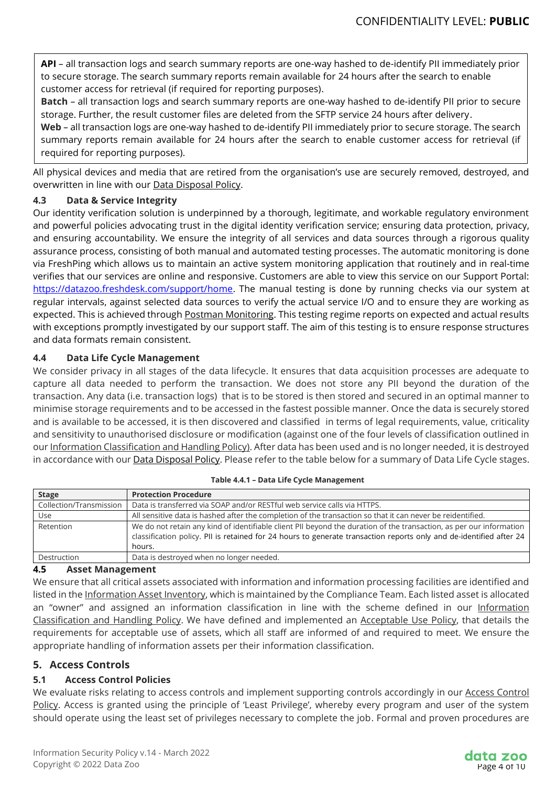**API** – all transaction logs and search summary reports are one-way hashed to de-identify PII immediately prior to secure storage. The search summary reports remain available for 24 hours after the search to enable customer access for retrieval (if required for reporting purposes).

**Batch** – all transaction logs and search summary reports are one-way hashed to de-identify PII prior to secure storage. Further, the result customer files are deleted from the SFTP service 24 hours after delivery.

**Web** – all transaction logs are one-way hashed to de-identify PII immediately prior to secure storage. The search summary reports remain available for 24 hours after the search to enable customer access for retrieval (if required for reporting purposes).

All physical devices and media that are retired from the organisation's use are securely removed, destroyed, and overwritten in line with our Data Disposal Policy.

## **4.3 Data & Service Integrity**

Our identity verification solution is underpinned by a thorough, legitimate, and workable regulatory environment and powerful policies advocating trust in the digital identity verification service; ensuring data protection, privacy, and ensuring accountability. We ensure the integrity of all services and data sources through a rigorous quality assurance process, consisting of both manual and automated testing processes. The automatic monitoring is done via FreshPing which allows us to maintain an active system monitoring application that routinely and in real-time verifies that our services are online and responsive. Customers are able to view this service on our Support Portal: [https://datazoo.freshdesk.com/support/home.](https://datazoo.freshdesk.com/support/home) The manual testing is done by running checks via our system at regular intervals, against selected data sources to verify the actual service I/O and to ensure they are working as expected. This is achieved through Postman Monitoring. This testing regime reports on expected and actual results with exceptions promptly investigated by our support staff. The aim of this testing is to ensure response structures and data formats remain consistent.

## **4.4 Data Life Cycle Management**

We consider privacy in all stages of the data lifecycle. It ensures that data acquisition processes are adequate to capture all data needed to perform the transaction. We does not store any PII beyond the duration of the transaction. Any data (i.e. transaction logs) that is to be stored is then stored and secured in an optimal manner to minimise storage requirements and to be accessed in the fastest possible manner. Once the data is securely stored and is available to be accessed, it is then discovered and classified in terms of legal requirements, value, criticality and sensitivity to unauthorised disclosure or modification (against one of the four levels of classification outlined in our Information Classification and Handling Policy). After data has been used and is no longer needed, it is destroyed in accordance with our **Data Disposal Policy**. Please refer to the table below for a summary of Data Life Cycle stages.

| <b>Stage</b>            | <b>Protection Procedure</b>                                                                                                                                                                                                                          |  |
|-------------------------|------------------------------------------------------------------------------------------------------------------------------------------------------------------------------------------------------------------------------------------------------|--|
| Collection/Transmission | Data is transferred via SOAP and/or RESTful web service calls via HTTPS.                                                                                                                                                                             |  |
| Use                     | All sensitive data is hashed after the completion of the transaction so that it can never be reidentified.                                                                                                                                           |  |
| Retention               | We do not retain any kind of identifiable client PII beyond the duration of the transaction, as per our information<br>classification policy. PII is retained for 24 hours to generate transaction reports only and de-identified after 24<br>hours. |  |
| Destruction             | Data is destroyed when no longer needed.                                                                                                                                                                                                             |  |

## **4.5 Asset Management**

We ensure that all critical assets associated with information and information processing facilities are identified and listed in the Information Asset Inventory, which is maintained by the Compliance Team. Each listed asset is allocated an "owner" and assigned an information classification in line with the scheme defined in our Information Classification and Handling Policy. We have defined and implemented an Acceptable Use Policy, that details the requirements for acceptable use of assets, which all staff are informed of and required to meet. We ensure the appropriate handling of information assets per their information classification.

## **5. Access Controls**

## **5.1 Access Control Policies**

We evaluate risks relating to access controls and implement supporting controls accordingly in our Access Control Policy. Access is granted using the principle of 'Least Privilege', whereby every program and user of the system should operate using the least set of privileges necessary to complete the job. Formal and proven procedures are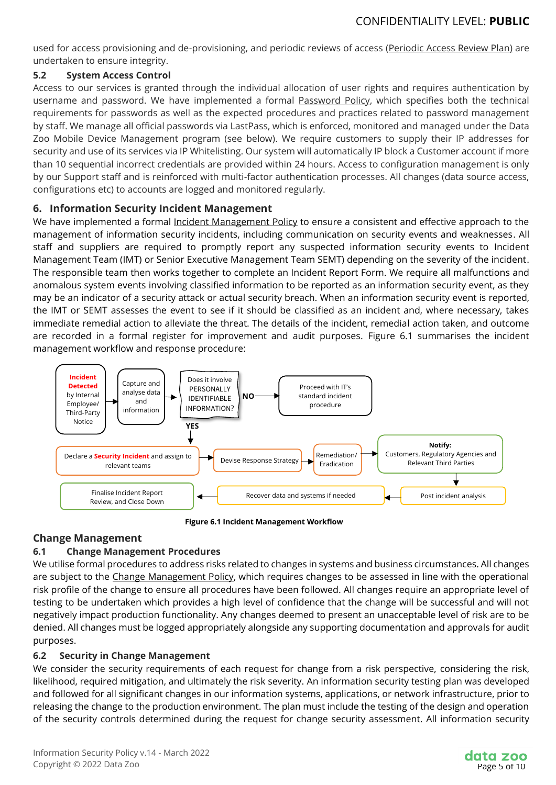used for access provisioning and de-provisioning, and periodic reviews of access (Periodic Access Review Plan) are undertaken to ensure integrity.

## **5.2 System Access Control**

Access to our services is granted through the individual allocation of user rights and requires authentication by username and password. We have implemented a formal **Password Policy**, which specifies both the technical requirements for passwords as well as the expected procedures and practices related to password management by staff. We manage all official passwords via LastPass, which is enforced, monitored and managed under the Data Zoo Mobile Device Management program (see below). We require customers to supply their IP addresses for security and use of its services via IP Whitelisting. Our system will automatically IP block a Customer account if more than 10 sequential incorrect credentials are provided within 24 hours. Access to configuration management is only by our Support staff and is reinforced with multi-factor authentication processes. All changes (data source access, configurations etc) to accounts are logged and monitored regularly.

## **6. Information Security Incident Management**

We have implemented a formal Incident Management Policy to ensure a consistent and effective approach to the management of information security incidents, including communication on security events and weaknesses. All staff and suppliers are required to promptly report any suspected information security events to Incident Management Team (IMT) or Senior Executive Management Team SEMT) depending on the severity of the incident. The responsible team then works together to complete an Incident Report Form. We require all malfunctions and anomalous system events involving classified information to be reported as an information security event, as they may be an indicator of a security attack or actual security breach. When an information security event is reported, the IMT or SEMT assesses the event to see if it should be classified as an incident and, where necessary, takes immediate remedial action to alleviate the threat. The details of the incident, remedial action taken, and outcome are recorded in a formal register for improvement and audit purposes. Figure 6.1 summarises the incident management workflow and response procedure:



**Figure 6.1 Incident Management Workflow**

# **Change Management**

# **6.1 Change Management Procedures**

We utilise formal procedures to address risks related to changes in systems and business circumstances. All changes are subject to the Change Management Policy, which requires changes to be assessed in line with the operational risk profile of the change to ensure all procedures have been followed. All changes require an appropriate level of testing to be undertaken which provides a high level of confidence that the change will be successful and will not negatively impact production functionality. Any changes deemed to present an unacceptable level of risk are to be denied. All changes must be logged appropriately alongside any supporting documentation and approvals for audit purposes.

# **6.2 Security in Change Management**

We consider the security requirements of each request for change from a risk perspective, considering the risk, likelihood, required mitigation, and ultimately the risk severity. An information security testing plan was developed and followed for all significant changes in our information systems, applications, or network infrastructure, prior to releasing the change to the production environment. The plan must include the testing of the design and operation of the security controls determined during the request for change security assessment. All information security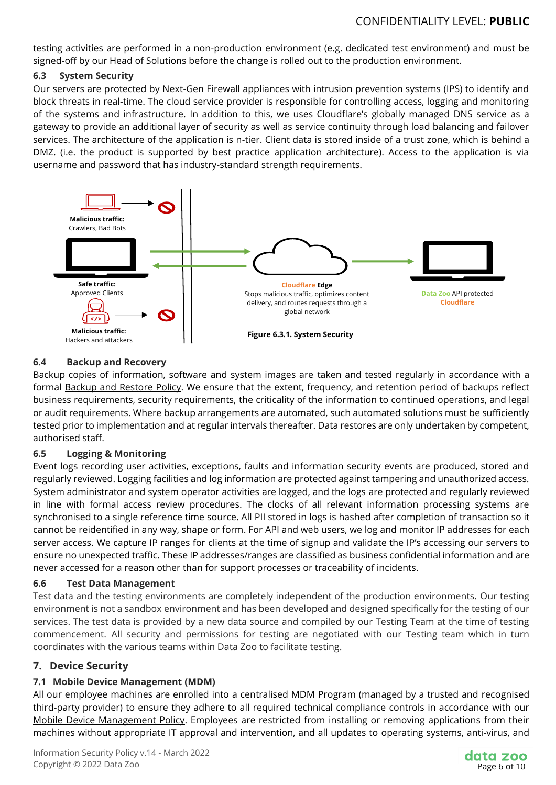testing activities are performed in a non-production environment (e.g. dedicated test environment) and must be signed-off by our Head of Solutions before the change is rolled out to the production environment.

#### **6.3 System Security**

Our servers are protected by Next-Gen Firewall appliances with intrusion prevention systems (IPS) to identify and block threats in real-time. The cloud service provider is responsible for controlling access, logging and monitoring of the systems and infrastructure. In addition to this, we uses Cloudflare's globally managed DNS service as a gateway to provide an additional layer of security as well as service continuity through load balancing and failover services. The architecture of the application is n-tier. Client data is stored inside of a trust zone, which is behind a DMZ. (i.e. the product is supported by best practice application architecture). Access to the application is via username and password that has industry-standard strength requirements.



## **6.4 Backup and Recovery**

Backup copies of information, software and system images are taken and tested regularly in accordance with a formal Backup and Restore Policy. We ensure that the extent, frequency, and retention period of backups reflect business requirements, security requirements, the criticality of the information to continued operations, and legal or audit requirements. Where backup arrangements are automated, such automated solutions must be sufficiently tested prior to implementation and at regular intervals thereafter. Data restores are only undertaken by competent, authorised staff.

#### **6.5 Logging & Monitoring**

Event logs recording user activities, exceptions, faults and information security events are produced, stored and regularly reviewed. Logging facilities and log information are protected against tampering and unauthorized access. System administrator and system operator activities are logged, and the logs are protected and regularly reviewed in line with formal access review procedures. The clocks of all relevant information processing systems are synchronised to a single reference time source. All PII stored in logs is hashed after completion of transaction so it cannot be reidentified in any way, shape or form. For API and web users, we log and monitor IP addresses for each server access. We capture IP ranges for clients at the time of signup and validate the IP's accessing our servers to ensure no unexpected traffic. These IP addresses/ranges are classified as business confidential information and are never accessed for a reason other than for support processes or traceability of incidents.

#### **6.6 Test Data Management**

Test data and the testing environments are completely independent of the production environments. Our testing environment is not a sandbox environment and has been developed and designed specifically for the testing of our services. The test data is provided by a new data source and compiled by our Testing Team at the time of testing commencement. All security and permissions for testing are negotiated with our Testing team which in turn coordinates with the various teams within Data Zoo to facilitate testing.

## **7. Device Security**

## **7.1 Mobile Device Management (MDM)**

All our employee machines are enrolled into a centralised MDM Program (managed by a trusted and recognised third-party provider) to ensure they adhere to all required technical compliance controls in accordance with our Mobile Device Management Policy. Employees are restricted from installing or removing applications from their machines without appropriate IT approval and intervention, and all updates to operating systems, anti-virus, and

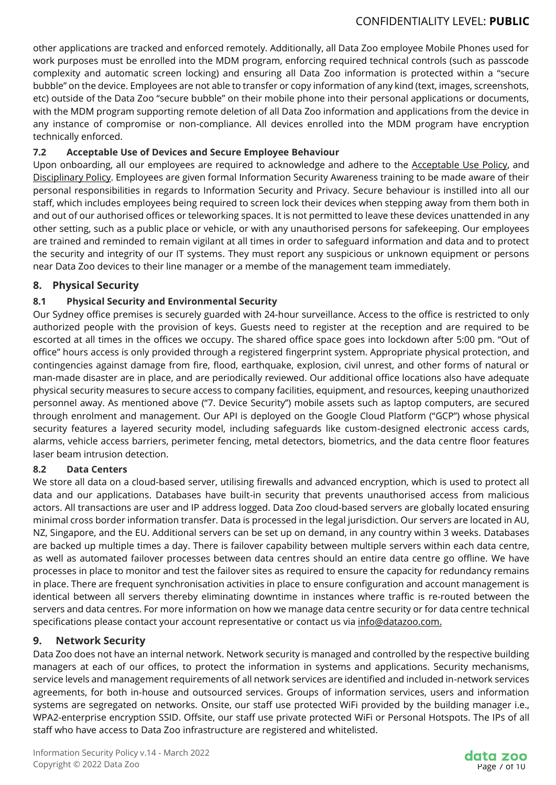other applications are tracked and enforced remotely. Additionally, all Data Zoo employee Mobile Phones used for work purposes must be enrolled into the MDM program, enforcing required technical controls (such as passcode complexity and automatic screen locking) and ensuring all Data Zoo information is protected within a "secure bubble" on the device. Employees are not able to transfer or copy information of any kind (text, images, screenshots, etc) outside of the Data Zoo "secure bubble" on their mobile phone into their personal applications or documents, with the MDM program supporting remote deletion of all Data Zoo information and applications from the device in any instance of compromise or non-compliance. All devices enrolled into the MDM program have encryption technically enforced.

## **7.2 Acceptable Use of Devices and Secure Employee Behaviour**

Upon onboarding, all our employees are required to acknowledge and adhere to the Acceptable Use Policy, and Disciplinary Policy. Employees are given formal Information Security Awareness training to be made aware of their personal responsibilities in regards to Information Security and Privacy. Secure behaviour is instilled into all our staff, which includes employees being required to screen lock their devices when stepping away from them both in and out of our authorised offices or teleworking spaces. It is not permitted to leave these devices unattended in any other setting, such as a public place or vehicle, or with any unauthorised persons for safekeeping. Our employees are trained and reminded to remain vigilant at all times in order to safeguard information and data and to protect the security and integrity of our IT systems. They must report any suspicious or unknown equipment or persons near Data Zoo devices to their line manager or a membe of the management team immediately.

## **8. Physical Security**

## **8.1 Physical Security and Environmental Security**

Our Sydney office premises is securely guarded with 24-hour surveillance. Access to the office is restricted to only authorized people with the provision of keys. Guests need to register at the reception and are required to be escorted at all times in the offices we occupy. The shared office space goes into lockdown after 5:00 pm. "Out of office" hours access is only provided through a registered fingerprint system. Appropriate physical protection, and contingencies against damage from fire, flood, earthquake, explosion, civil unrest, and other forms of natural or man-made disaster are in place, and are periodically reviewed. Our additional office locations also have adequate physical security measures to secure access to company facilities, equipment, and resources, keeping unauthorized personnel away. As mentioned above ("7. Device Security'') mobile assets such as laptop computers, are secured through enrolment and management. Our API is deployed on the Google Cloud Platform ("GCP") whose physical security features a layered security model, including safeguards like custom-designed electronic access cards, alarms, vehicle access barriers, perimeter fencing, metal detectors, biometrics, and the data centre floor features laser beam intrusion detection.

#### **8.2 Data Centers**

We store all data on a cloud-based server, utilising firewalls and advanced encryption, which is used to protect all data and our applications. Databases have built-in security that prevents unauthorised access from malicious actors. All transactions are user and IP address logged. Data Zoo cloud-based servers are globally located ensuring minimal cross border information transfer. Data is processed in the legal jurisdiction. Our servers are located in AU, NZ, Singapore, and the EU. Additional servers can be set up on demand, in any country within 3 weeks. Databases are backed up multiple times a day. There is failover capability between multiple servers within each data centre, as well as automated failover processes between data centres should an entire data centre go offline. We have processes in place to monitor and test the failover sites as required to ensure the capacity for redundancy remains in place. There are frequent synchronisation activities in place to ensure configuration and account management is identical between all servers thereby eliminating downtime in instances where traffic is re-routed between the servers and data centres. For more information on how we manage data centre security or for data centre technical specifications please contact your account representative or contact us via [info@datazoo.com.](mailto:info@datazoo.com)

#### **9. Network Security**

Data Zoo does not have an internal network. Network security is managed and controlled by the respective building managers at each of our offices, to protect the information in systems and applications. Security mechanisms, service levels and management requirements of all network services are identified and included in-network services agreements, for both in-house and outsourced services. Groups of information services, users and information systems are segregated on networks. Onsite, our staff use protected WiFi provided by the building manager i.e., WPA2-enterprise encryption SSID. Offsite, our staff use private protected WiFi or Personal Hotspots. The IPs of all staff who have access to Data Zoo infrastructure are registered and whitelisted.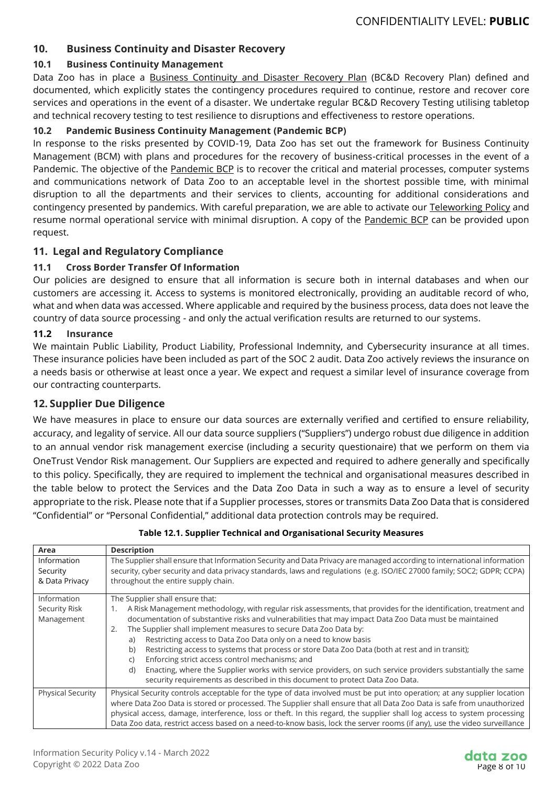## **10. Business Continuity and Disaster Recovery**

## **10.1 Business Continuity Management**

Data Zoo has in place a Business Continuity and Disaster Recovery Plan (BC&D Recovery Plan) defined and documented, which explicitly states the contingency procedures required to continue, restore and recover core services and operations in the event of a disaster. We undertake regular BC&D Recovery Testing utilising tabletop and technical recovery testing to test resilience to disruptions and effectiveness to restore operations.

## **10.2 Pandemic Business Continuity Management (Pandemic BCP)**

In response to the risks presented by COVID-19, Data Zoo has set out the framework for Business Continuity Management (BCM) with plans and procedures for the recovery of business-critical processes in the event of a Pandemic. The objective of the **Pandemic BCP** is to recover the critical and material processes, computer systems and communications network of Data Zoo to an acceptable level in the shortest possible time, with minimal disruption to all the departments and their services to clients, accounting for additional considerations and contingency presented by pandemics. With careful preparation, we are able to activate our Teleworking Policy and resume normal operational service with minimal disruption. A copy of the Pandemic BCP can be provided upon request.

## **11. Legal and Regulatory Compliance**

## **11.1 Cross Border Transfer Of Information**

Our policies are designed to ensure that all information is secure both in internal databases and when our customers are accessing it. Access to systems is monitored electronically, providing an auditable record of who, what and when data was accessed. Where applicable and required by the business process, data does not leave the country of data source processing - and only the actual verification results are returned to our systems.

#### **11.2 Insurance**

We maintain Public Liability, Product Liability, Professional Indemnity, and Cybersecurity insurance at all times. These insurance policies have been included as part of the SOC 2 audit. Data Zoo actively reviews the insurance on a needs basis or otherwise at least once a year. We expect and request a similar level of insurance coverage from our contracting counterparts.

## **12. Supplier Due Diligence**

We have measures in place to ensure our data sources are externally verified and certified to ensure reliability, accuracy, and legality of service. All our data source suppliers ("Suppliers") undergo robust due diligence in addition to an annual vendor risk management exercise (including a security questionaire) that we perform on them via OneTrust Vendor Risk management. Our Suppliers are expected and required to adhere generally and specifically to this policy. Specifically, they are required to implement the technical and organisational measures described in the table below to protect the Services and the Data Zoo Data in such a way as to ensure a level of security appropriate to the risk. Please note that if a Supplier processes, stores or transmits Data Zoo Data that is considered "Confidential" or "Personal Confidential," additional data protection controls may be required.

| Area                                       | <b>Description</b>                                                                                                                                                                                                                                                                                                                                                                                                                                                                                                                                                                                                                                                                                                                                                                                  |
|--------------------------------------------|-----------------------------------------------------------------------------------------------------------------------------------------------------------------------------------------------------------------------------------------------------------------------------------------------------------------------------------------------------------------------------------------------------------------------------------------------------------------------------------------------------------------------------------------------------------------------------------------------------------------------------------------------------------------------------------------------------------------------------------------------------------------------------------------------------|
| Information<br>Security<br>& Data Privacy  | The Supplier shall ensure that Information Security and Data Privacy are managed according to international information<br>security, cyber security and data privacy standards, laws and regulations (e.g. ISO/IEC 27000 family; SOC2; GDPR; CCPA)<br>throughout the entire supply chain.                                                                                                                                                                                                                                                                                                                                                                                                                                                                                                           |
| Information<br>Security Risk<br>Management | The Supplier shall ensure that:<br>A Risk Management methodology, with regular risk assessments, that provides for the identification, treatment and<br>1.<br>documentation of substantive risks and vulnerabilities that may impact Data Zoo Data must be maintained<br>The Supplier shall implement measures to secure Data Zoo Data by:<br>2.<br>Restricting access to Data Zoo Data only on a need to know basis<br>a)<br>Restricting access to systems that process or store Data Zoo Data (both at rest and in transit);<br>b)<br>Enforcing strict access control mechanisms; and<br>C)<br>Enacting, where the Supplier works with service providers, on such service providers substantially the same<br>d)<br>security requirements as described in this document to protect Data Zoo Data. |
| <b>Physical Security</b>                   | Physical Security controls acceptable for the type of data involved must be put into operation; at any supplier location<br>where Data Zoo Data is stored or processed. The Supplier shall ensure that all Data Zoo Data is safe from unauthorized<br>physical access, damage, interference, loss or theft. In this regard, the supplier shall log access to system processing<br>Data Zoo data, restrict access based on a need-to-know basis, lock the server rooms (if any), use the video surveillance                                                                                                                                                                                                                                                                                          |

#### **Table 12.1. Supplier Technical and Organisational Security Measures**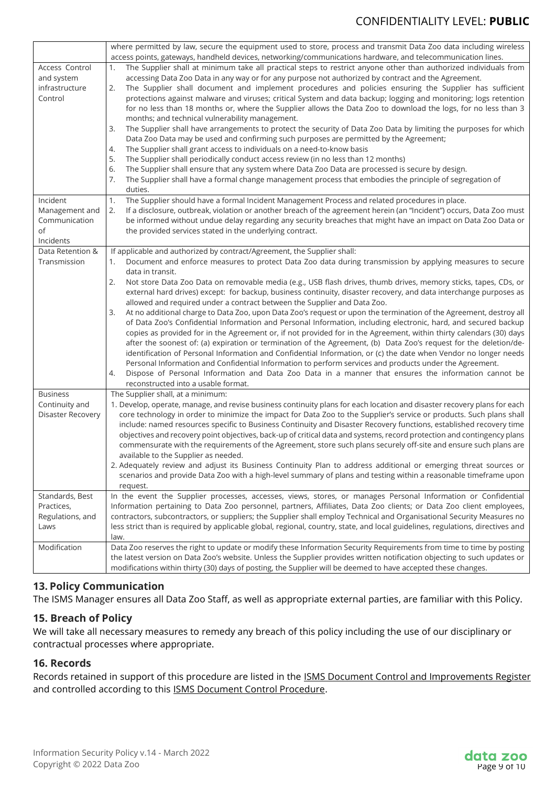|                                 | where permitted by law, secure the equipment used to store, process and transmit Data Zoo data including wireless                                                                                                                           |  |  |
|---------------------------------|---------------------------------------------------------------------------------------------------------------------------------------------------------------------------------------------------------------------------------------------|--|--|
|                                 | access points, gateways, handheld devices, networking/communications hardware, and telecommunication lines.                                                                                                                                 |  |  |
| Access Control<br>and system    | The Supplier shall at minimum take all practical steps to restrict anyone other than authorized individuals from<br>1.<br>accessing Data Zoo Data in any way or for any purpose not authorized by contract and the Agreement.               |  |  |
| infrastructure                  | The Supplier shall document and implement procedures and policies ensuring the Supplier has sufficient<br>2.                                                                                                                                |  |  |
| Control                         | protections against malware and viruses; critical System and data backup; logging and monitoring; logs retention                                                                                                                            |  |  |
|                                 | for no less than 18 months or, where the Supplier allows the Data Zoo to download the logs, for no less than 3                                                                                                                              |  |  |
|                                 | months; and technical vulnerability management.                                                                                                                                                                                             |  |  |
|                                 | The Supplier shall have arrangements to protect the security of Data Zoo Data by limiting the purposes for which<br>3.                                                                                                                      |  |  |
|                                 | Data Zoo Data may be used and confirming such purposes are permitted by the Agreement;                                                                                                                                                      |  |  |
|                                 | The Supplier shall grant access to individuals on a need-to-know basis<br>4.                                                                                                                                                                |  |  |
|                                 | 5.<br>The Supplier shall periodically conduct access review (in no less than 12 months)                                                                                                                                                     |  |  |
|                                 | 6.<br>The Supplier shall ensure that any system where Data Zoo Data are processed is secure by design.                                                                                                                                      |  |  |
|                                 | 7.<br>The Supplier shall have a formal change management process that embodies the principle of segregation of                                                                                                                              |  |  |
|                                 | duties.                                                                                                                                                                                                                                     |  |  |
| Incident                        | The Supplier should have a formal Incident Management Process and related procedures in place.<br>1.                                                                                                                                        |  |  |
| Management and<br>Communication | If a disclosure, outbreak, violation or another breach of the agreement herein (an "Incident") occurs, Data Zoo must<br>2.<br>be informed without undue delay regarding any security breaches that might have an impact on Data Zoo Data or |  |  |
| of                              | the provided services stated in the underlying contract.                                                                                                                                                                                    |  |  |
| Incidents                       |                                                                                                                                                                                                                                             |  |  |
| Data Retention &                | If applicable and authorized by contract/Agreement, the Supplier shall:                                                                                                                                                                     |  |  |
| Transmission                    | Document and enforce measures to protect Data Zoo data during transmission by applying measures to secure<br>1.                                                                                                                             |  |  |
|                                 | data in transit.                                                                                                                                                                                                                            |  |  |
|                                 | Not store Data Zoo Data on removable media (e.g., USB flash drives, thumb drives, memory sticks, tapes, CDs, or<br>2.                                                                                                                       |  |  |
|                                 | external hard drives) except: for backup, business continuity, disaster recovery, and data interchange purposes as                                                                                                                          |  |  |
|                                 | allowed and required under a contract between the Supplier and Data Zoo.                                                                                                                                                                    |  |  |
|                                 | At no additional charge to Data Zoo, upon Data Zoo's request or upon the termination of the Agreement, destroy all<br>3.                                                                                                                    |  |  |
|                                 | of Data Zoo's Confidential Information and Personal Information, including electronic, hard, and secured backup                                                                                                                             |  |  |
|                                 | copies as provided for in the Agreement or, if not provided for in the Agreement, within thirty calendars (30) days                                                                                                                         |  |  |
|                                 | after the soonest of: (a) expiration or termination of the Agreement, (b) Data Zoo's request for the deletion/de-                                                                                                                           |  |  |
|                                 | identification of Personal Information and Confidential Information, or (c) the date when Vendor no longer needs                                                                                                                            |  |  |
|                                 | Personal Information and Confidential Information to perform services and products under the Agreement.                                                                                                                                     |  |  |
|                                 | Dispose of Personal Information and Data Zoo Data in a manner that ensures the information cannot be<br>4.                                                                                                                                  |  |  |
| <b>Business</b>                 | reconstructed into a usable format.                                                                                                                                                                                                         |  |  |
| Continuity and                  | The Supplier shall, at a minimum:<br>1. Develop, operate, manage, and revise business continuity plans for each location and disaster recovery plans for each                                                                               |  |  |
| Disaster Recovery               | core technology in order to minimize the impact for Data Zoo to the Supplier's service or products. Such plans shall                                                                                                                        |  |  |
|                                 | include: named resources specific to Business Continuity and Disaster Recovery functions, established recovery time                                                                                                                         |  |  |
|                                 | objectives and recovery point objectives, back-up of critical data and systems, record protection and contingency plans                                                                                                                     |  |  |
|                                 | commensurate with the requirements of the Agreement, store such plans securely off-site and ensure such plans are                                                                                                                           |  |  |
|                                 | available to the Supplier as needed.                                                                                                                                                                                                        |  |  |
|                                 | 2. Adequately review and adjust its Business Continuity Plan to address additional or emerging threat sources or                                                                                                                            |  |  |
|                                 | scenarios and provide Data Zoo with a high-level summary of plans and testing within a reasonable timeframe upon                                                                                                                            |  |  |
|                                 | request.                                                                                                                                                                                                                                    |  |  |
| Standards, Best                 | In the event the Supplier processes, accesses, views, stores, or manages Personal Information or Confidential                                                                                                                               |  |  |
| Practices,                      | Information pertaining to Data Zoo personnel, partners, Affiliates, Data Zoo clients; or Data Zoo client employees,                                                                                                                         |  |  |
| Regulations, and                | contractors, subcontractors, or suppliers; the Supplier shall employ Technical and Organisational Security Measures no                                                                                                                      |  |  |
| Laws                            | less strict than is required by applicable global, regional, country, state, and local guidelines, regulations, directives and                                                                                                              |  |  |
|                                 | law.                                                                                                                                                                                                                                        |  |  |
| Modification                    | Data Zoo reserves the right to update or modify these Information Security Requirements from time to time by posting                                                                                                                        |  |  |
|                                 | the latest version on Data Zoo's website. Unless the Supplier provides written notification objecting to such updates or                                                                                                                    |  |  |
|                                 | modifications within thirty (30) days of posting, the Supplier will be deemed to have accepted these changes.                                                                                                                               |  |  |

## **13. Policy Communication**

The ISMS Manager ensures all Data Zoo Staff, as well as appropriate external parties, are familiar with this Policy.

## **15. Breach of Policy**

We will take all necessary measures to remedy any breach of this policy including the use of our disciplinary or contractual processes where appropriate.

#### **16. Records**

Records retained in support of this procedure are listed in the **ISMS Document Control and Improvements Register** and controlled according to this **ISMS Document Control Procedure**.